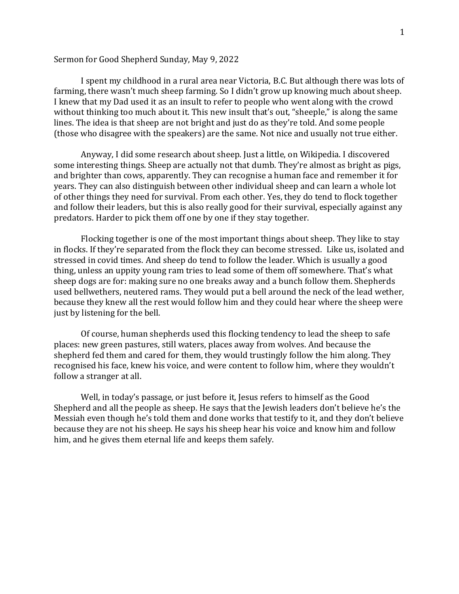## Sermon for Good Shepherd Sunday, May 9, 2022

I spent my childhood in a rural area near Victoria, B.C. But although there was lots of farming, there wasn't much sheep farming. So I didn't grow up knowing much about sheep. I knew that my Dad used it as an insult to refer to people who went along with the crowd without thinking too much about it. This new insult that's out, "sheeple," is along the same lines. The idea is that sheep are not bright and just do as they're told. And some people (those who disagree with the speakers) are the same. Not nice and usually not true either.

Anyway, I did some research about sheep. Just a little, on Wikipedia. I discovered some interesting things. Sheep are actually not that dumb. They're almost as bright as pigs, and brighter than cows, apparently. They can recognise a human face and remember it for years. They can also distinguish between other individual sheep and can learn a whole lot of other things they need for survival. From each other. Yes, they do tend to flock together and follow their leaders, but this is also really good for their survival, especially against any predators. Harder to pick them off one by one if they stay together.

Flocking together is one of the most important things about sheep. They like to stay in flocks. If they're separated from the flock they can become stressed. Like us, isolated and stressed in covid times. And sheep do tend to follow the leader. Which is usually a good thing, unless an uppity young ram tries to lead some of them off somewhere. That's what sheep dogs are for: making sure no one breaks away and a bunch follow them. Shepherds used bellwethers, neutered rams. They would put a bell around the neck of the lead wether, because they knew all the rest would follow him and they could hear where the sheep were just by listening for the bell.

Of course, human shepherds used this flocking tendency to lead the sheep to safe places: new green pastures, still waters, places away from wolves. And because the shepherd fed them and cared for them, they would trustingly follow the him along. They recognised his face, knew his voice, and were content to follow him, where they wouldn't follow a stranger at all.

Well, in today's passage, or just before it, Jesus refers to himself as the Good Shepherd and all the people as sheep. He says that the Jewish leaders don't believe he's the Messiah even though he's told them and done works that testify to it, and they don't believe because they are not his sheep. He says his sheep hear his voice and know him and follow him, and he gives them eternal life and keeps them safely.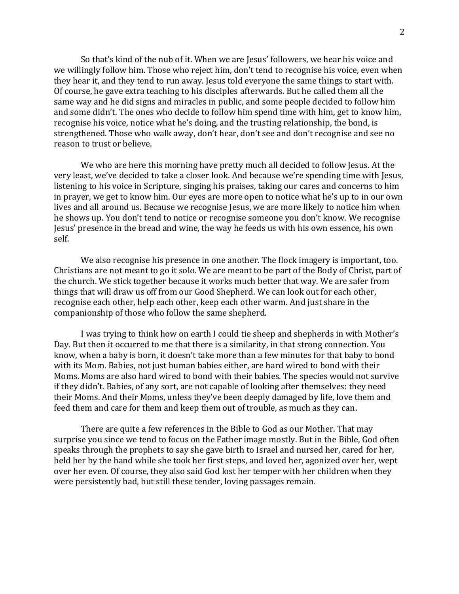So that's kind of the nub of it. When we are Jesus' followers, we hear his voice and we willingly follow him. Those who reject him, don't tend to recognise his voice, even when they hear it, and they tend to run away. Jesus told everyone the same things to start with. Of course, he gave extra teaching to his disciples afterwards. But he called them all the same way and he did signs and miracles in public, and some people decided to follow him and some didn't. The ones who decide to follow him spend time with him, get to know him, recognise his voice, notice what he's doing, and the trusting relationship, the bond, is strengthened. Those who walk away, don't hear, don't see and don't recognise and see no reason to trust or believe.

We who are here this morning have pretty much all decided to follow Jesus. At the very least, we've decided to take a closer look. And because we're spending time with Jesus, listening to his voice in Scripture, singing his praises, taking our cares and concerns to him in prayer, we get to know him. Our eyes are more open to notice what he's up to in our own lives and all around us. Because we recognise Jesus, we are more likely to notice him when he shows up. You don't tend to notice or recognise someone you don't know. We recognise Jesus' presence in the bread and wine, the way he feeds us with his own essence, his own self.

We also recognise his presence in one another. The flock imagery is important, too. Christians are not meant to go it solo. We are meant to be part of the Body of Christ, part of the church. We stick together because it works much better that way. We are safer from things that will draw us off from our Good Shepherd. We can look out for each other, recognise each other, help each other, keep each other warm. And just share in the companionship of those who follow the same shepherd.

I was trying to think how on earth I could tie sheep and shepherds in with Mother's Day. But then it occurred to me that there is a similarity, in that strong connection. You know, when a baby is born, it doesn't take more than a few minutes for that baby to bond with its Mom. Babies, not just human babies either, are hard wired to bond with their Moms. Moms are also hard wired to bond with their babies. The species would not survive if they didn't. Babies, of any sort, are not capable of looking after themselves: they need their Moms. And their Moms, unless they've been deeply damaged by life, love them and feed them and care for them and keep them out of trouble, as much as they can.

There are quite a few references in the Bible to God as our Mother. That may surprise you since we tend to focus on the Father image mostly. But in the Bible, God often speaks through the prophets to say she gave birth to Israel and nursed her, cared for her, held her by the hand while she took her first steps, and loved her, agonized over her, wept over her even. Of course, they also said God lost her temper with her children when they were persistently bad, but still these tender, loving passages remain.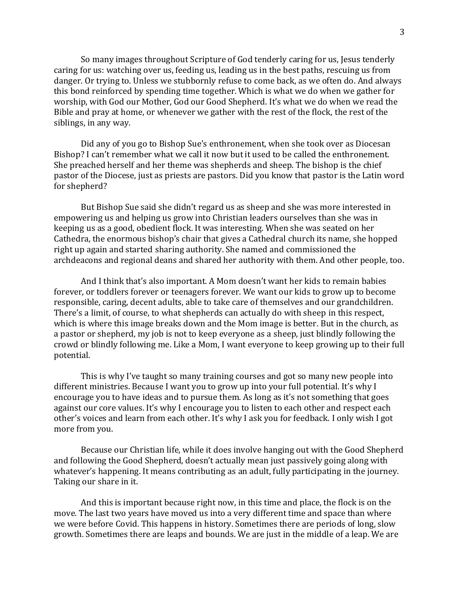So many images throughout Scripture of God tenderly caring for us, Jesus tenderly caring for us: watching over us, feeding us, leading us in the best paths, rescuing us from danger. Or trying to. Unless we stubbornly refuse to come back, as we often do. And always this bond reinforced by spending time together. Which is what we do when we gather for worship, with God our Mother, God our Good Shepherd. It's what we do when we read the Bible and pray at home, or whenever we gather with the rest of the flock, the rest of the siblings, in any way.

Did any of you go to Bishop Sue's enthronement, when she took over as Diocesan Bishop? I can't remember what we call it now but it used to be called the enthronement. She preached herself and her theme was shepherds and sheep. The bishop is the chief pastor of the Diocese, just as priests are pastors. Did you know that pastor is the Latin word for shepherd?

But Bishop Sue said she didn't regard us as sheep and she was more interested in empowering us and helping us grow into Christian leaders ourselves than she was in keeping us as a good, obedient flock. It was interesting. When she was seated on her Cathedra, the enormous bishop's chair that gives a Cathedral church its name, she hopped right up again and started sharing authority. She named and commissioned the archdeacons and regional deans and shared her authority with them. And other people, too.

And I think that's also important. A Mom doesn't want her kids to remain babies forever, or toddlers forever or teenagers forever. We want our kids to grow up to become responsible, caring, decent adults, able to take care of themselves and our grandchildren. There's a limit, of course, to what shepherds can actually do with sheep in this respect, which is where this image breaks down and the Mom image is better. But in the church, as a pastor or shepherd, my job is not to keep everyone as a sheep, just blindly following the crowd or blindly following me. Like a Mom, I want everyone to keep growing up to their full potential.

This is why I've taught so many training courses and got so many new people into different ministries. Because I want you to grow up into your full potential. It's why I encourage you to have ideas and to pursue them. As long as it's not something that goes against our core values. It's why I encourage you to listen to each other and respect each other's voices and learn from each other. It's why I ask you for feedback. I only wish I got more from you.

Because our Christian life, while it does involve hanging out with the Good Shepherd and following the Good Shepherd, doesn't actually mean just passively going along with whatever's happening. It means contributing as an adult, fully participating in the journey. Taking our share in it.

And this is important because right now, in this time and place, the flock is on the move. The last two years have moved us into a very different time and space than where we were before Covid. This happens in history. Sometimes there are periods of long, slow growth. Sometimes there are leaps and bounds. We are just in the middle of a leap. We are